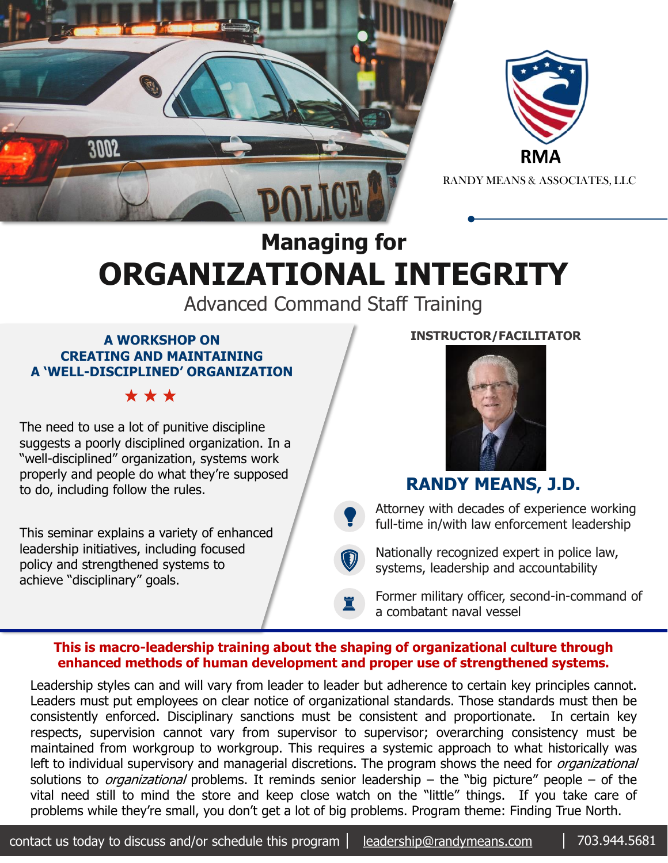



RANDY MEANS & ASSOCIATES, LLC

# **Managing for ORGANIZATIONAL INTEGRITY**

Advanced Command Staff Training

#### **A WORKSHOP ON CREATING AND MAINTAINING A 'WELL-DISCIPLINED' ORGANIZATION**

\* \* \*

The need to use a lot of punitive discipline suggests a poorly disciplined organization. In a "well-disciplined" organization, systems work properly and people do what they're supposed to do, including follow the rules.

This seminar explains a variety of enhanced leadership initiatives, including focused policy and strengthened systems to achieve "disciplinary" goals.

### **INSTRUCTOR/FACILITATOR**



## **RANDY MEANS, J.D.**

 $\bullet$ Attorney with decades of experience working full-time in/with law enforcement leadership

 $\bigcirc$ Nationally recognized expert in police law, systems, leadership and accountability

Former military officer, second-in-command of a combatant naval vessel

#### **This is macro-leadership training about the shaping of organizational culture through enhanced methods of human development and proper use of strengthened systems.**

♜

Leadership styles can and will vary from leader to leader but adherence to certain key principles cannot. Leaders must put employees on clear notice of organizational standards. Those standards must then be consistently enforced. Disciplinary sanctions must be consistent and proportionate. In certain key respects, supervision cannot vary from supervisor to supervisor; overarching consistency must be maintained from workgroup to workgroup. This requires a systemic approach to what historically was left to individual supervisory and managerial discretions. The program shows the need for *organizational* solutions to *organizational* problems. It reminds senior leadership – the "big picture" people – of the vital need still to mind the store and keep close watch on the "little" things. If you take care of problems while they're small, you don't get a lot of big problems. Program theme: Finding True North.